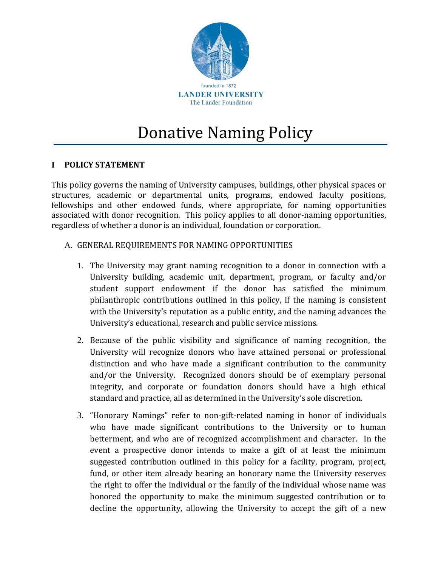

# Donative Naming Policy

## **I POLICY STATEMENT**

This policy governs the naming of University campuses, buildings, other physical spaces or structures, academic or departmental units, programs, endowed faculty positions, fellowships and other endowed funds, where appropriate, for naming opportunities associated with donor recognition. This policy applies to all donor-naming opportunities, regardless of whether a donor is an individual, foundation or corporation.

- A. GENERAL REQUIREMENTS FOR NAMING OPPORTUNITIES
	- 1. The University may grant naming recognition to a donor in connection with a University building, academic unit, department, program, or faculty and/or student support endowment if the donor has satisfied the minimum philanthropic contributions outlined in this policy, if the naming is consistent with the University's reputation as a public entity, and the naming advances the University's educational, research and public service missions.
	- 2. Because of the public visibility and significance of naming recognition, the University will recognize donors who have attained personal or professional distinction and who have made a significant contribution to the community and/or the University. Recognized donors should be of exemplary personal integrity, and corporate or foundation donors should have a high ethical standard and practice, all as determined in the University's sole discretion.
	- 3. "Honorary Namings" refer to non-gift-related naming in honor of individuals who have made significant contributions to the University or to human betterment, and who are of recognized accomplishment and character. In the event a prospective donor intends to make a gift of at least the minimum suggested contribution outlined in this policy for a facility, program, project, fund, or other item already bearing an honorary name the University reserves the right to offer the individual or the family of the individual whose name was honored the opportunity to make the minimum suggested contribution or to decline the opportunity, allowing the University to accept the gift of a new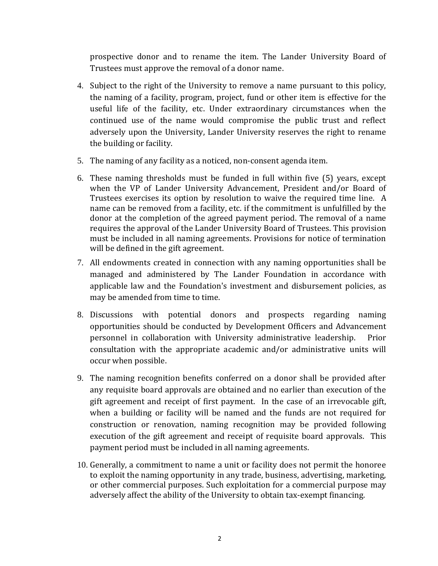prospective donor and to rename the item. The Lander University Board of Trustees must approve the removal of a donor name.

- 4. Subject to the right of the University to remove a name pursuant to this policy, the naming of a facility, program, project, fund or other item is effective for the useful life of the facility, etc. Under extraordinary circumstances when the continued use of the name would compromise the public trust and reflect adversely upon the University, Lander University reserves the right to rename the building or facility.
- 5. The naming of any facility as a noticed, non-consent agenda item.
- 6. These naming thresholds must be funded in full within five (5) years, except when the VP of Lander University Advancement, President and/or Board of Trustees exercises its option by resolution to waive the required time line. A name can be removed from a facility, etc. if the commitment is unfulfilled by the donor at the completion of the agreed payment period. The removal of a name requires the approval of the Lander University Board of Trustees. This provision must be included in all naming agreements. Provisions for notice of termination will be defined in the gift agreement.
- 7. All endowments created in connection with any naming opportunities shall be managed and administered by The Lander Foundation in accordance with applicable law and the Foundation's investment and disbursement policies, as may be amended from time to time.
- 8. Discussions with potential donors and prospects regarding naming opportunities should be conducted by Development Officers and Advancement personnel in collaboration with University administrative leadership. Prior consultation with the appropriate academic and/or administrative units will occur when possible.
- 9. The naming recognition benefits conferred on a donor shall be provided after any requisite board approvals are obtained and no earlier than execution of the gift agreement and receipt of first payment. In the case of an irrevocable gift, when a building or facility will be named and the funds are not required for construction or renovation, naming recognition may be provided following execution of the gift agreement and receipt of requisite board approvals. This payment period must be included in all naming agreements.
- 10. Generally, a commitment to name a unit or facility does not permit the honoree to exploit the naming opportunity in any trade, business, advertising, marketing, or other commercial purposes. Such exploitation for a commercial purpose may adversely affect the ability of the University to obtain tax-exempt financing.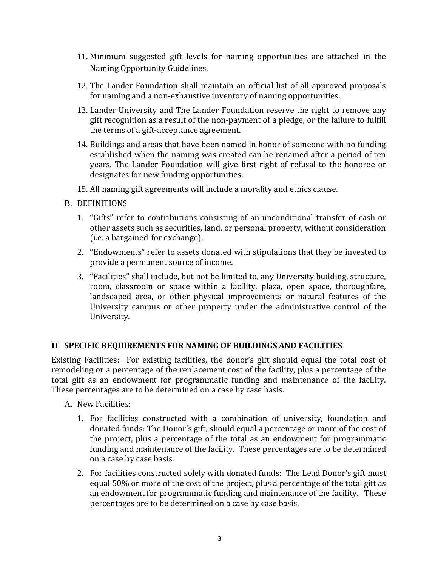- 11. Minimum suggested gift levels for naming opportunities are attached in the Naming Opportunity Guidelines.
- 12. The Lander Foundation shall maintain an official list of all approved proposals for naming and a non-exhaustive inventory of naming opportunities.
- 13. Lander University and The Lander Foundation reserve the right to remove any gift recognition as a result of the non-payment of a pledge, or the failure to fulfill the terms of a gift-acceptance agreement.
- 14. Buildings and areas that have been named in honor of someone with no funding established when the naming was created can be renamed after a period of ten years. The Lander Foundation will give first right of refusal to the honoree or designates for new funding opportunities.
- 15. All naming gift agreements will include a morality and ethics clause.
- B. DEFINITIONS
	- 1. "Gifts" refer to contributions consisting of an unconditional transfer of cash or other assets such as securities, land, or personal property, without consideration (i.e. a bargained-for exchange).
	- 2. "Endowments" refer to assets donated with stipulations that they be invested to provide a permanent source of income.
	- 3. "Facilities" shall include, but not be limited to, any University building, structure, room, classroom or space within a facility, plaza, open space, thoroughfare, landscaped area, or other physical improvements or natural features of the University campus or other property under the administrative control of the University.

#### **II SPECIFIC REQUIREMENTS FOR NAMING OF BUILDINGS AND FACILITIES**

Existing Facilities: For existing facilities, the donor's gift should equal the total cost of remodeling or a percentage of the replacement cost of the facility, plus a percentage of the total gift as an endowment for programmatic funding and maintenance of the facility. These percentages are to be determined on a case by case basis.

- A. New Facilities:
	- 1. For facilities constructed with a combination of university, foundation and donated funds: The Donor's gift, should equal a percentage or more of the cost of the project, plus a percentage of the total as an endowment for programmatic funding and maintenance of the facility. These percentages are to be determined on a case by case basis.
	- 2. For facilities constructed solely with donated funds: The Lead Donor's gift must equal 50% or more of the cost of the project, plus a percentage of the total gift as an endowment for programmatic funding and maintenance of the facility. These percentages are to be determined on a case by case basis.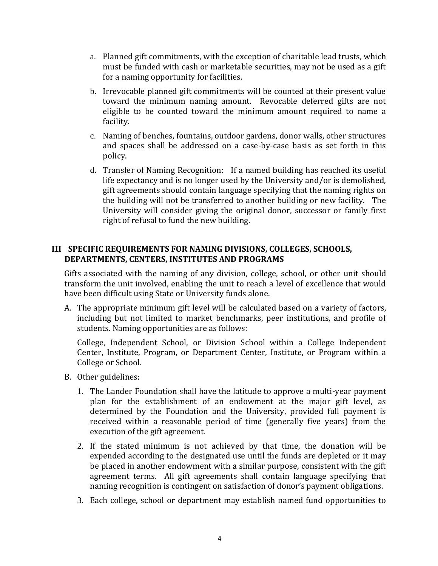- a. Planned gift commitments, with the exception of charitable lead trusts, which must be funded with cash or marketable securities, may not be used as a gift for a naming opportunity for facilities.
- b. Irrevocable planned gift commitments will be counted at their present value toward the minimum naming amount. Revocable deferred gifts are not eligible to be counted toward the minimum amount required to name a facility.
- c. Naming of benches, fountains, outdoor gardens, donor walls, other structures and spaces shall be addressed on a case-by-case basis as set forth in this policy.
- d. Transfer of Naming Recognition: If a named building has reached its useful life expectancy and is no longer used by the University and/or is demolished, gift agreements should contain language specifying that the naming rights on the building will not be transferred to another building or new facility. The University will consider giving the original donor, successor or family first right of refusal to fund the new building.

## **III SPECIFIC REQUIREMENTS FOR NAMING DIVISIONS, COLLEGES, SCHOOLS, DEPARTMENTS, CENTERS, INSTITUTES AND PROGRAMS**

Gifts associated with the naming of any division, college, school, or other unit should transform the unit involved, enabling the unit to reach a level of excellence that would have been difficult using State or University funds alone.

A. The appropriate minimum gift level will be calculated based on a variety of factors, including but not limited to market benchmarks, peer institutions, and profile of students. Naming opportunities are as follows:

College, Independent School, or Division School within a College Independent Center, Institute, Program, or Department Center, Institute, or Program within a College or School.

- B. Other guidelines:
	- 1. The Lander Foundation shall have the latitude to approve a multi-year payment plan for the establishment of an endowment at the major gift level, as determined by the Foundation and the University, provided full payment is received within a reasonable period of time (generally five years) from the execution of the gift agreement.
	- 2. If the stated minimum is not achieved by that time, the donation will be expended according to the designated use until the funds are depleted or it may be placed in another endowment with a similar purpose, consistent with the gift agreement terms. All gift agreements shall contain language specifying that naming recognition is contingent on satisfaction of donor's payment obligations.
	- 3. Each college, school or department may establish named fund opportunities to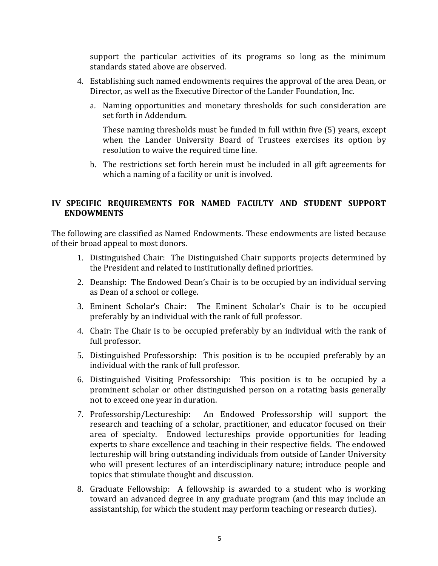support the particular activities of its programs so long as the minimum standards stated above are observed.

- 4. Establishing such named endowments requires the approval of the area Dean, or Director, as well as the Executive Director of the Lander Foundation, Inc.
	- a. Naming opportunities and monetary thresholds for such consideration are set forth in Addendum.

These naming thresholds must be funded in full within five (5) years, except when the Lander University Board of Trustees exercises its option by resolution to waive the required time line.

b. The restrictions set forth herein must be included in all gift agreements for which a naming of a facility or unit is involved.

# **IV SPECIFIC REQUIREMENTS FOR NAMED FACULTY AND STUDENT SUPPORT ENDOWMENTS**

The following are classified as Named Endowments. These endowments are listed because of their broad appeal to most donors.

- 1. Distinguished Chair: The Distinguished Chair supports projects determined by the President and related to institutionally defined priorities.
- 2. Deanship: The Endowed Dean's Chair is to be occupied by an individual serving as Dean of a school or college.
- 3. Eminent Scholar's Chair: The Eminent Scholar's Chair is to be occupied preferably by an individual with the rank of full professor.
- 4. Chair: The Chair is to be occupied preferably by an individual with the rank of full professor.
- 5. Distinguished Professorship: This position is to be occupied preferably by an individual with the rank of full professor.
- 6. Distinguished Visiting Professorship: This position is to be occupied by a prominent scholar or other distinguished person on a rotating basis generally not to exceed one year in duration.
- 7. Professorship/Lectureship: An Endowed Professorship will support the research and teaching of a scholar, practitioner, and educator focused on their area of specialty. Endowed lectureships provide opportunities for leading experts to share excellence and teaching in their respective fields. The endowed lectureship will bring outstanding individuals from outside of Lander University who will present lectures of an interdisciplinary nature; introduce people and topics that stimulate thought and discussion.
- 8. Graduate Fellowship: A fellowship is awarded to a student who is working toward an advanced degree in any graduate program (and this may include an assistantship, for which the student may perform teaching or research duties).